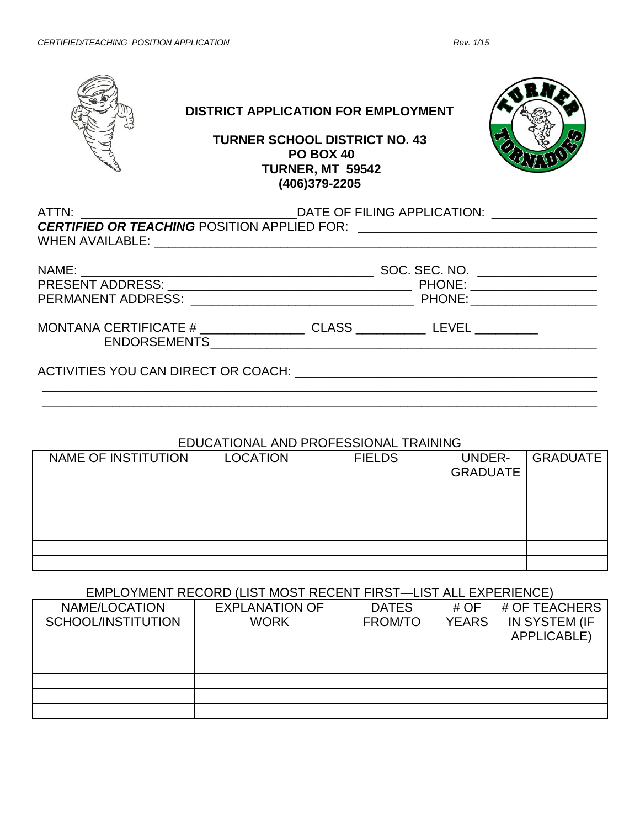

# **DISTRICT APPLICATION FOR EMPLOYMENT**

### **TURNER SCHOOL DISTRICT NO. 43 PO BOX 40 TURNER, MT 59542 (406)379-2205**



| MONTANA CERTIFICATE # ________________________CLASS ____________________________         |  |  |  |  |  |
|------------------------------------------------------------------------------------------|--|--|--|--|--|
|                                                                                          |  |  |  |  |  |
|                                                                                          |  |  |  |  |  |
| ACTIVITIES YOU CAN DIRECT OR COACH: CONDITIONAL CONTRACTIVITIES YOU CAN DIRECT OR COACH: |  |  |  |  |  |
|                                                                                          |  |  |  |  |  |

### EDUCATIONAL AND PROFESSIONAL TRAINING

\_\_\_\_\_\_\_\_\_\_\_\_\_\_\_\_\_\_\_\_\_\_\_\_\_\_\_\_\_\_\_\_\_\_\_\_\_\_\_\_\_\_\_\_\_\_\_\_\_\_\_\_\_\_\_\_\_\_\_\_\_\_\_\_\_\_\_\_\_\_\_\_\_\_\_\_\_\_\_

| NAME OF INSTITUTION | <b>LOCATION</b> | <b>FIELDS</b> | UNDER-<br><b>GRADUATE</b> | <b>GRADUATE</b> |
|---------------------|-----------------|---------------|---------------------------|-----------------|
|                     |                 |               |                           |                 |
|                     |                 |               |                           |                 |
|                     |                 |               |                           |                 |
|                     |                 |               |                           |                 |
|                     |                 |               |                           |                 |
|                     |                 |               |                           |                 |

#### EMPLOYMENT RECORD (LIST MOST RECENT FIRST—LIST ALL EXPERIENCE)

| NAME/LOCATION      | <b>EXPLANATION OF</b> | <b>DATES</b> | # $OF$       | # OF TEACHERS      |  |  |
|--------------------|-----------------------|--------------|--------------|--------------------|--|--|
| SCHOOL/INSTITUTION | <b>WORK</b>           | FROM/TO      | <b>YEARS</b> | IN SYSTEM (IF      |  |  |
|                    |                       |              |              | <b>APPLICABLE)</b> |  |  |
|                    |                       |              |              |                    |  |  |
|                    |                       |              |              |                    |  |  |
|                    |                       |              |              |                    |  |  |
|                    |                       |              |              |                    |  |  |
|                    |                       |              |              |                    |  |  |